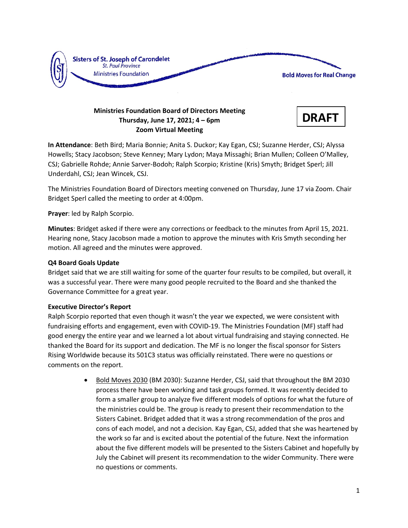

# **Ministries Foundation Board of Directors Meeting Thursday, June 17, 2021; 4 – 6pm Zoom Virtual Meeting**



**In Attendance**: Beth Bird; Maria Bonnie; Anita S. Duckor; Kay Egan, CSJ; Suzanne Herder, CSJ; Alyssa Howells; Stacy Jacobson; Steve Kenney; Mary Lydon; Maya Missaghi; Brian Mullen; Colleen O'Malley, CSJ; Gabrielle Rohde; Annie Sarver-Bodoh; Ralph Scorpio; Kristine (Kris) Smyth; Bridget Sperl; Jill Underdahl, CSJ; Jean Wincek, CSJ.

The Ministries Foundation Board of Directors meeting convened on Thursday, June 17 via Zoom. Chair Bridget Sperl called the meeting to order at 4:00pm.

**Prayer**: led by Ralph Scorpio.

**Minutes**: Bridget asked if there were any corrections or feedback to the minutes from April 15, 2021. Hearing none, Stacy Jacobson made a motion to approve the minutes with Kris Smyth seconding her motion. All agreed and the minutes were approved.

# **Q4 Board Goals Update**

Bridget said that we are still waiting for some of the quarter four results to be compiled, but overall, it was a successful year. There were many good people recruited to the Board and she thanked the Governance Committee for a great year.

## **Executive Director's Report**

Ralph Scorpio reported that even though it wasn't the year we expected, we were consistent with fundraising efforts and engagement, even with COVID-19. The Ministries Foundation (MF) staff had good energy the entire year and we learned a lot about virtual fundraising and staying connected. He thanked the Board for its support and dedication. The MF is no longer the fiscal sponsor for Sisters Rising Worldwide because its 501C3 status was officially reinstated. There were no questions or comments on the report.

> • Bold Moves 2030 (BM 2030): Suzanne Herder, CSJ, said that throughout the BM 2030 process there have been working and task groups formed. It was recently decided to form a smaller group to analyze five different models of options for what the future of the ministries could be. The group is ready to present their recommendation to the Sisters Cabinet. Bridget added that it was a strong recommendation of the pros and cons of each model, and not a decision. Kay Egan, CSJ, added that she was heartened by the work so far and is excited about the potential of the future. Next the information about the five different models will be presented to the Sisters Cabinet and hopefully by July the Cabinet will present its recommendation to the wider Community. There were no questions or comments.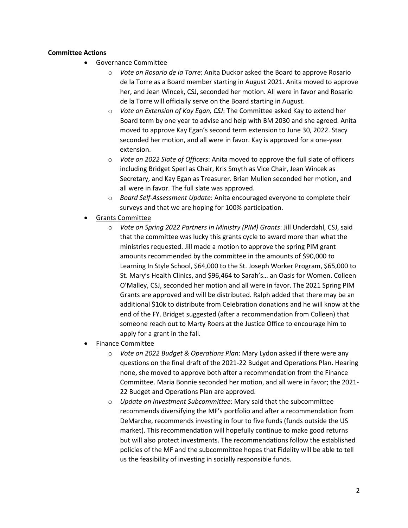## **Committee Actions**

- Governance Committee
	- o *Vote on Rosario de la Torre*: Anita Duckor asked the Board to approve Rosario de la Torre as a Board member starting in August 2021. Anita moved to approve her, and Jean Wincek, CSJ, seconded her motion. All were in favor and Rosario de la Torre will officially serve on the Board starting in August.
	- o *Vote on Extension of Kay Egan, CSJ*: The Committee asked Kay to extend her Board term by one year to advise and help with BM 2030 and she agreed. Anita moved to approve Kay Egan's second term extension to June 30, 2022. Stacy seconded her motion, and all were in favor. Kay is approved for a one-year extension.
	- o *Vote on 2022 Slate of Officers*: Anita moved to approve the full slate of officers including Bridget Sperl as Chair, Kris Smyth as Vice Chair, Jean Wincek as Secretary, and Kay Egan as Treasurer. Brian Mullen seconded her motion, and all were in favor. The full slate was approved.
	- o *Board Self-Assessment Update*: Anita encouraged everyone to complete their surveys and that we are hoping for 100% participation.
- Grants Committee
	- o *Vote on Spring 2022 Partners In Ministry (PIM) Grants*: Jill Underdahl, CSJ, said that the committee was lucky this grants cycle to award more than what the ministries requested. Jill made a motion to approve the spring PIM grant amounts recommended by the committee in the amounts of \$90,000 to Learning In Style School, \$64,000 to the St. Joseph Worker Program, \$65,000 to St. Mary's Health Clinics, and \$96,464 to Sarah's… an Oasis for Women. Colleen O'Malley, CSJ, seconded her motion and all were in favor. The 2021 Spring PIM Grants are approved and will be distributed. Ralph added that there may be an additional \$10k to distribute from Celebration donations and he will know at the end of the FY. Bridget suggested (after a recommendation from Colleen) that someone reach out to Marty Roers at the Justice Office to encourage him to apply for a grant in the fall.
- Finance Committee
	- o *Vote on 2022 Budget & Operations Plan*: Mary Lydon asked if there were any questions on the final draft of the 2021-22 Budget and Operations Plan. Hearing none, she moved to approve both after a recommendation from the Finance Committee. Maria Bonnie seconded her motion, and all were in favor; the 2021- 22 Budget and Operations Plan are approved.
	- o *Update on Investment Subcommittee*: Mary said that the subcommittee recommends diversifying the MF's portfolio and after a recommendation from DeMarche, recommends investing in four to five funds (funds outside the US market). This recommendation will hopefully continue to make good returns but will also protect investments. The recommendations follow the established policies of the MF and the subcommittee hopes that Fidelity will be able to tell us the feasibility of investing in socially responsible funds.